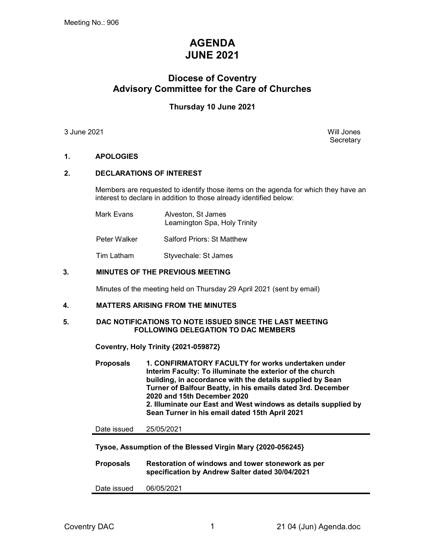# AGENDA JUNE 2021

## Diocese of Coventry Advisory Committee for the Care of Churches

## Thursday 10 June 2021

3 June 2021 Will Jones

**Secretary** 

## 1. APOLOGIES

## 2. DECLARATIONS OF INTEREST

Members are requested to identify those items on the agenda for which they have an interest to declare in addition to those already identified below:

| Mark Evans | Alveston, St James           |  |  |
|------------|------------------------------|--|--|
|            | Leamington Spa, Holy Trinity |  |  |

Peter Walker Salford Priors: St Matthew

Tim Latham Styvechale: St James

## 3. MINUTES OF THE PREVIOUS MEETING

Minutes of the meeting held on Thursday 29 April 2021 (sent by email)

#### 4. MATTERS ARISING FROM THE MINUTES

#### 5. DAC NOTIFICATIONS TO NOTE ISSUED SINCE THE LAST MEETING FOLLOWING DELEGATION TO DAC MEMBERS

Coventry, Holy Trinity {2021-059872}

Proposals 1. CONFIRMATORY FACULTY for works undertaken under Interim Faculty: To illuminate the exterior of the church building, in accordance with the details supplied by Sean Turner of Balfour Beatty, in his emails dated 3rd. December 2020 and 15th December 2020 2. Illuminate our East and West windows as details supplied by Sean Turner in his email dated 15th April 2021

Date issued 25/05/2021

Tysoe, Assumption of the Blessed Virgin Mary {2020-056245}

Proposals Restoration of windows and tower stonework as per specification by Andrew Salter dated 30/04/2021

Date issued 06/05/2021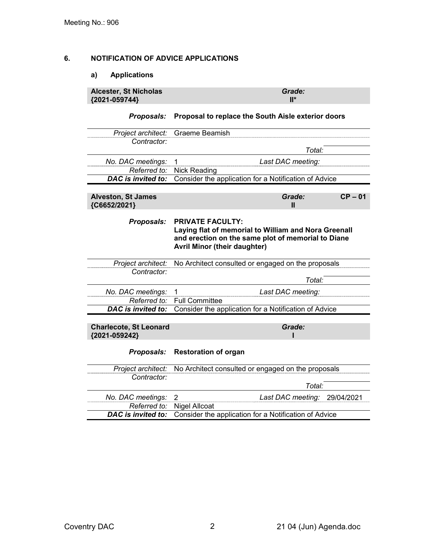## 6. NOTIFICATION OF ADVICE APPLICATIONS

## a) Applications

| Alcester, St Nicholas | Grade:          |
|-----------------------|-----------------|
|                       |                 |
| ${2021 - 059744}$     | $\mathsf{II}^*$ |
|                       |                 |

## Proposals: Proposal to replace the South Aisle exterior doors

| Project architect:                             | Graeme Beamish                                                                                                                                                               |  |  |  |
|------------------------------------------------|------------------------------------------------------------------------------------------------------------------------------------------------------------------------------|--|--|--|
| Contractor:                                    |                                                                                                                                                                              |  |  |  |
|                                                | Total:                                                                                                                                                                       |  |  |  |
| No. DAC meetings:                              | Last DAC meeting:                                                                                                                                                            |  |  |  |
| Referred to:                                   | <b>Nick Reading</b>                                                                                                                                                          |  |  |  |
| <b>DAC</b> is invited to:                      | Consider the application for a Notification of Advice                                                                                                                        |  |  |  |
|                                                |                                                                                                                                                                              |  |  |  |
| <b>Alveston, St James</b><br>{C6652/2021}      | $CP - 01$<br>Grade:<br>Ш                                                                                                                                                     |  |  |  |
| Proposals:                                     | <b>PRIVATE FACULTY:</b><br>Laying flat of memorial to William and Nora Greenall<br>and erection on the same plot of memorial to Diane<br><b>Avril Minor (their daughter)</b> |  |  |  |
| Project architect:                             | No Architect consulted or engaged on the proposals                                                                                                                           |  |  |  |
| Contractor:                                    |                                                                                                                                                                              |  |  |  |
|                                                | Total:                                                                                                                                                                       |  |  |  |
| No. DAC meetings:                              | 1<br>Last DAC meeting:                                                                                                                                                       |  |  |  |
| Referred to:                                   | <b>Full Committee</b>                                                                                                                                                        |  |  |  |
| DAC is invited to:                             | Consider the application for a Notification of Advice                                                                                                                        |  |  |  |
|                                                |                                                                                                                                                                              |  |  |  |
| <b>Charlecote, St Leonard</b><br>{2021-059242} | Grade:                                                                                                                                                                       |  |  |  |
| Proposals:                                     | <b>Restoration of organ</b>                                                                                                                                                  |  |  |  |
| Project architect:                             | No Architect consulted or engaged on the proposals                                                                                                                           |  |  |  |
| Contractor:                                    |                                                                                                                                                                              |  |  |  |
|                                                | Total:                                                                                                                                                                       |  |  |  |
| No. DAC meetings:                              | 2<br>Last DAC meeting:<br>29/04/2021                                                                                                                                         |  |  |  |
| Referred to:                                   | <b>Nigel Allcoat</b>                                                                                                                                                         |  |  |  |
| <b>DAC</b> is invited to:                      | Consider the application for a Notification of Advice                                                                                                                        |  |  |  |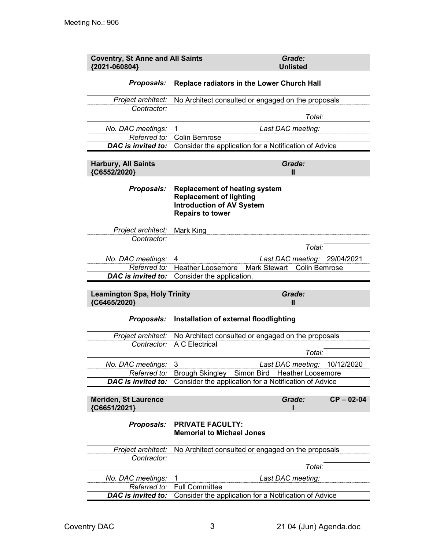| <b>Coventry, St Anne and All Saints</b><br>{2021-060804} | Grade:<br><b>Unlisted</b>                                                                                                             |                |
|----------------------------------------------------------|---------------------------------------------------------------------------------------------------------------------------------------|----------------|
| Proposals:                                               | Replace radiators in the Lower Church Hall                                                                                            |                |
| Project architect:                                       | No Architect consulted or engaged on the proposals                                                                                    |                |
| Contractor:                                              |                                                                                                                                       |                |
|                                                          | Total:                                                                                                                                |                |
| No. DAC meetings:                                        | 1<br>Last DAC meeting:                                                                                                                |                |
| Referred to:<br>DAC is invited to:                       | <b>Colin Bemrose</b><br>Consider the application for a Notification of Advice                                                         |                |
|                                                          |                                                                                                                                       |                |
| <b>Harbury, All Saints</b><br>{C6552/2020}               | Grade:<br>$\mathbf{I}$                                                                                                                |                |
| Proposals:                                               | <b>Replacement of heating system</b><br><b>Replacement of lighting</b><br><b>Introduction of AV System</b><br><b>Repairs to tower</b> |                |
| Project architect:                                       | Mark King                                                                                                                             |                |
| Contractor:                                              |                                                                                                                                       |                |
|                                                          | Total:                                                                                                                                |                |
| No. DAC meetings:                                        | Last DAC meeting: 29/04/2021<br>4                                                                                                     |                |
| Referred to:<br>DAC is invited to:                       | <b>Heather Loosemore</b><br>Mark Stewart<br><b>Colin Bemrose</b><br>Consider the application.                                         |                |
|                                                          |                                                                                                                                       |                |
| <b>Leamington Spa, Holy Trinity</b><br>{C6465/2020}      | Grade:<br>Ш                                                                                                                           |                |
| Proposals:                                               | Installation of external floodlighting                                                                                                |                |
|                                                          | Project architect: No Architect consulted or engaged on the proposals                                                                 |                |
| Contractor:                                              | A C Electrical                                                                                                                        |                |
|                                                          | Total:                                                                                                                                |                |
| No. DAC meetings:                                        | Last DAC meeting: 10/12/2020<br>3                                                                                                     |                |
| Referred to:<br><b>DAC</b> is invited to:                | Brough Skingley Simon Bird<br><b>Heather Loosemore</b><br>Consider the application for a Notification of Advice                       |                |
|                                                          |                                                                                                                                       |                |
| <b>Meriden, St Laurence</b><br>{C6651/2021}              | Grade:                                                                                                                                | $CP - 02 - 04$ |
| Proposals:                                               | <b>PRIVATE FACULTY:</b><br><b>Memorial to Michael Jones</b>                                                                           |                |
|                                                          |                                                                                                                                       |                |
| Project architect:                                       | No Architect consulted or engaged on the proposals                                                                                    |                |
| Contractor:                                              | Total:                                                                                                                                |                |
|                                                          | 1                                                                                                                                     |                |
| No. DAC meetings:<br>Referred to:                        | Last DAC meeting:<br><b>Full Committee</b>                                                                                            |                |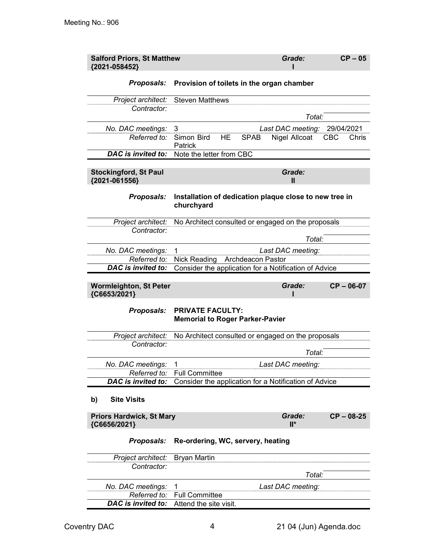| <b>Salford Priors, St Matthew</b><br>{2021-058452} |                                                                      |                          | Grade:            | $CP - 05$           |
|----------------------------------------------------|----------------------------------------------------------------------|--------------------------|-------------------|---------------------|
| <b>Proposals:</b>                                  | Provision of toilets in the organ chamber                            |                          |                   |                     |
| Project architect:                                 | <b>Steven Matthews</b>                                               |                          |                   |                     |
| Contractor:                                        |                                                                      |                          |                   |                     |
|                                                    |                                                                      |                          | Total:            |                     |
| No. DAC meetings:                                  | 3                                                                    |                          | Last DAC meeting: | 29/04/2021          |
| Referred to:                                       | Simon Bird<br><b>HE</b><br>Patrick                                   | <b>SPAB</b>              | Nigel Allcoat     | <b>CBC</b><br>Chris |
| DAC is invited to:                                 | Note the letter from CBC                                             |                          |                   |                     |
|                                                    |                                                                      |                          |                   |                     |
| <b>Stockingford, St Paul</b><br>{2021-061556}      |                                                                      |                          | Grade:<br>Ш       |                     |
| Proposals:                                         | Installation of dedication plaque close to new tree in<br>churchyard |                          |                   |                     |
| Project architect:                                 | No Architect consulted or engaged on the proposals                   |                          |                   |                     |
| Contractor:                                        |                                                                      |                          |                   |                     |
|                                                    |                                                                      |                          | Total:            |                     |
| No. DAC meetings:                                  | 1                                                                    |                          | Last DAC meeting: |                     |
| Referred to:                                       | <b>Nick Reading</b>                                                  | <b>Archdeacon Pastor</b> |                   |                     |
| <b>DAC</b> is invited to:                          | Consider the application for a Notification of Advice                |                          |                   |                     |
|                                                    |                                                                      |                          |                   |                     |
| <b>Wormleighton, St Peter</b><br>{C6653/2021}      |                                                                      |                          | Grade:            | $CP - 06-07$        |
| Proposals:                                         | <b>PRIVATE FACULTY:</b><br><b>Memorial to Roger Parker-Pavier</b>    |                          |                   |                     |
| Project architect:                                 | No Architect consulted or engaged on the proposals                   |                          |                   |                     |
| Contractor:                                        |                                                                      |                          |                   |                     |
|                                                    |                                                                      |                          | Total:            |                     |
| No. DAC meetings:                                  | 1                                                                    |                          | Last DAC meeting: |                     |
| Referred to:                                       | <b>Full Committee</b>                                                |                          |                   |                     |
| <b>DAC</b> is invited to:                          | Consider the application for a Notification of Advice                |                          |                   |                     |
| <b>Site Visits</b><br>b)                           |                                                                      |                          |                   |                     |
| <b>Priors Hardwick, St Mary</b><br>{C6656/2021}    |                                                                      |                          | Grade:<br>$II^*$  | $CP - 08-25$        |
| Proposals:                                         | Re-ordering, WC, servery, heating                                    |                          |                   |                     |
| Project architect:                                 | <b>Bryan Martin</b>                                                  |                          |                   |                     |
| Contractor:                                        |                                                                      |                          |                   |                     |
|                                                    |                                                                      |                          | Total:            |                     |

DAC is invited to: Attend the site visit.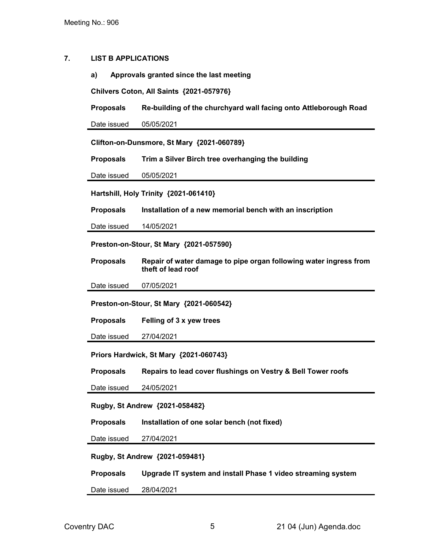### 7. LIST B APPLICATIONS

a) Approvals granted since the last meeting

Chilvers Coton, All Saints {2021-057976}

Proposals Re-building of the churchyard wall facing onto Attleborough Road

Date issued 05/05/2021

Clifton-on-Dunsmore, St Mary {2021-060789}

Proposals Trim a Silver Birch tree overhanging the building

Date issued 05/05/2021

Hartshill, Holy Trinity {2021-061410}

Proposals Installation of a new memorial bench with an inscription

Date issued 14/05/2021

Preston-on-Stour, St Mary {2021-057590}

Proposals Repair of water damage to pipe organ following water ingress from theft of lead roof

Date issued 07/05/2021

Preston-on-Stour, St Mary {2021-060542}

Proposals Felling of 3 x yew trees

Date issued 27/04/2021

Priors Hardwick, St Mary {2021-060743}

Proposals Repairs to lead cover flushings on Vestry & Bell Tower roofs

Date issued 24/05/2021

Rugby, St Andrew {2021-058482}

Proposals Installation of one solar bench (not fixed)

Date issued 27/04/2021

Rugby, St Andrew {2021-059481}

Proposals Upgrade IT system and install Phase 1 video streaming system

Date issued 28/04/2021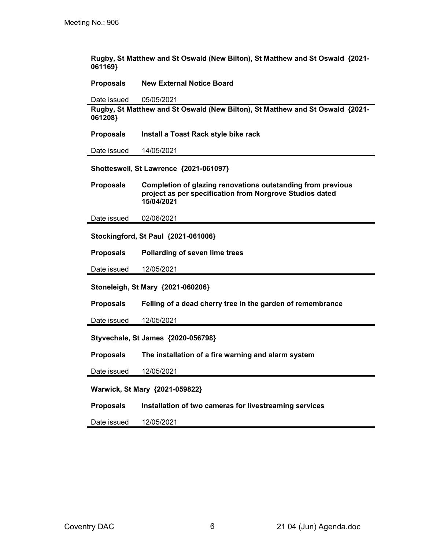Rugby, St Matthew and St Oswald (New Bilton), St Matthew and St Oswald {2021- 061169}

Proposals New External Notice Board

Date issued 05/05/2021

Rugby, St Matthew and St Oswald (New Bilton), St Matthew and St Oswald {2021- 061208}

Proposals Install a Toast Rack style bike rack

Date issued 14/05/2021

Shotteswell, St Lawrence {2021-061097}

Proposals Completion of glazing renovations outstanding from previous project as per specification from Norgrove Studios dated 15/04/2021

Date issued 02/06/2021

Stockingford, St Paul {2021-061006}

Proposals Pollarding of seven lime trees

Date issued 12/05/2021

Stoneleigh, St Mary {2021-060206}

Proposals Felling of a dead cherry tree in the garden of remembrance

Date issued 12/05/2021

Styvechale, St James {2020-056798}

Proposals The installation of a fire warning and alarm system

Date issued 12/05/2021

Warwick, St Mary {2021-059822}

Proposals Installation of two cameras for livestreaming services

Date issued 12/05/2021